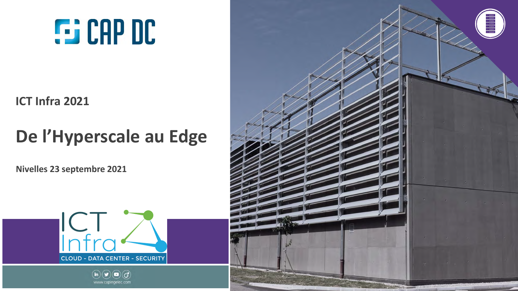# **G:** CAP DC

**ICT Infra 2021**

## **De l'Hyperscale au Edge**

**Nivelles 23 septembre 2021**





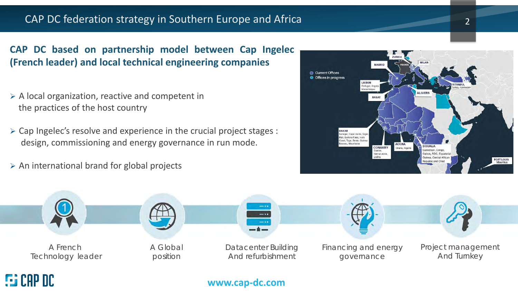#### CAP DC federation strategy in Southern Europe and Africa 2008 2014 2022

#### **CAP DC based on partnership model between Cap Ingelec (French leader) and local technical engineering companies**

- $\triangleright$  A local organization, reactive and competent in the practices of the host country
- $\triangleright$  Cap Ingelec's resolve and experience in the crucial project stages : design, commissioning and energy governance in run mode.
- $\triangleright$  An international brand for global projects





#### **www.cap-dc.com**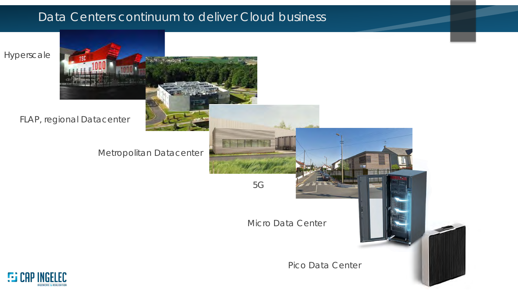### Data Centers continuum to deliver Cloud business





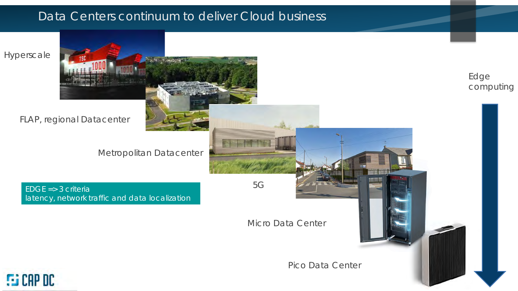### Data Centers continuum to deliver Cloud business

Hyperscale

FLAP, regional Datacenter

Metropolitan Datacenter

EDGE => 3 criteria 5G latency, network traffic and data localization

Edge computing

Pico Data Center

Micro Data Center

**FG** CAP DC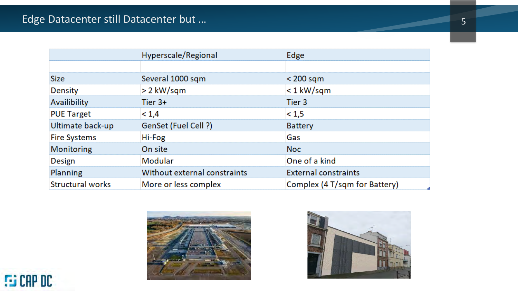|                         | Hyperscale/Regional          | Edge                          |
|-------------------------|------------------------------|-------------------------------|
|                         |                              |                               |
| <b>Size</b>             | Several 1000 sqm             | $<$ 200 sqm                   |
| Density                 | > 2 kW/sqm                   | $<$ 1 kW/sqm                  |
| Availibility            | Tier $3+$                    | Tier 3                        |
| <b>PUE Target</b>       | < 1,4                        | < 1, 5                        |
| Ultimate back-up        | GenSet (Fuel Cell ?)         | <b>Battery</b>                |
| <b>Fire Systems</b>     | Hi-Fog                       | Gas                           |
| Monitoring              | On site                      | <b>Noc</b>                    |
| <b>Design</b>           | Modular                      | One of a kind                 |
| <b>Planning</b>         | Without external constraints | <b>External constraints</b>   |
| <b>Structural works</b> | More or less complex         | Complex (4 T/sqm for Battery) |



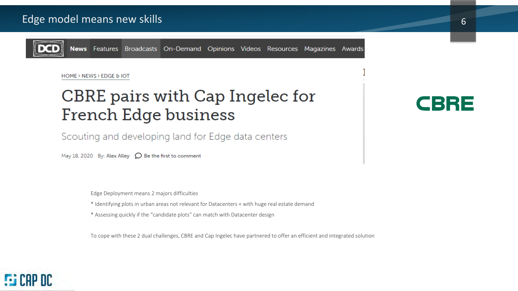

**FSI CAP DC** 

News Features Broadcasts On-Demand Opinions Videos Resources Magazines Awards

#### HOME > NEWS > EDGE & IOT

### CBRE pairs with Cap Ingelec for **French Edge business**

Scouting and developing land for Edge data centers

May 18, 2020 By: Alex Alley  $\bigcirc$  Be the first to comment

Edge Deployment means 2 majors difficulties

- \* Identifying plots in urban areas not relevant for Datacenters + with huge real estate demand
- \* Assessing quickly if the "candidate plots" can match with Datacenter design

To cope with these 2 dual challenges, CBRE and Cap Ingelec have partnered to offer an efficient and integrated solution

### CBRE